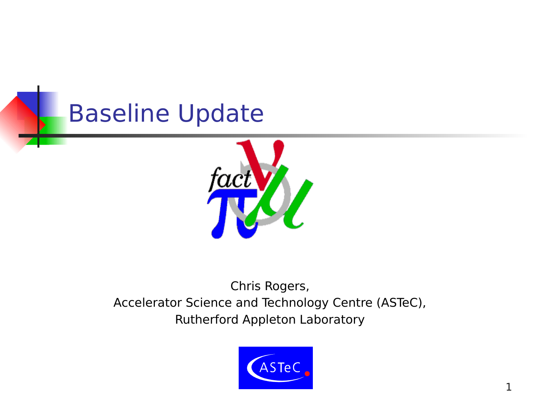



#### Chris Rogers, Accelerator Science and Technology Centre (ASTeC), Rutherford Appleton Laboratory

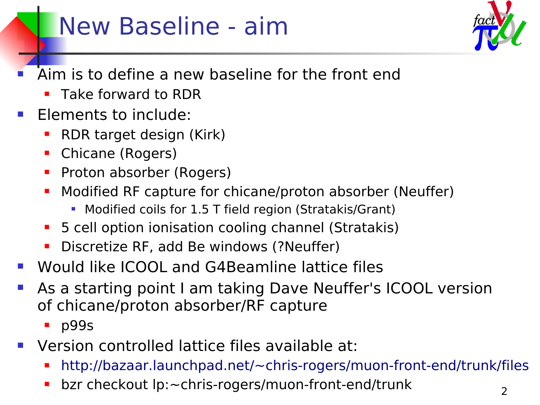## New Baseline - aim

- Aim is to define a new baseline for the front end
	- **Take forward to RDR**
- Elements to include:
	- RDR target design (Kirk)
	- **Chicane (Rogers)**
	- **Proton absorber (Rogers)**
	- Modified RF capture for chicane/proton absorber (Neuffer)
		- **Modified coils for 1.5 T field region (Stratakis/Grant)**
	- **5** cell option ionisation cooling channel (Stratakis)
	- **Discretize RF, add Be windows (?Neuffer)**
- Would like ICOOL and G4Beamline lattice files
- As a starting point I am taking Dave Neuffer's ICOOL version of chicane/proton absorber/RF capture
	- **p**99s
- Version controlled lattice files available at:
	- <http://bazaar.launchpad.net/~chris-rogers/muon-front-end/trunk/files>
	- bzr checkout lp:~chris-rogers/muon-front-end/trunk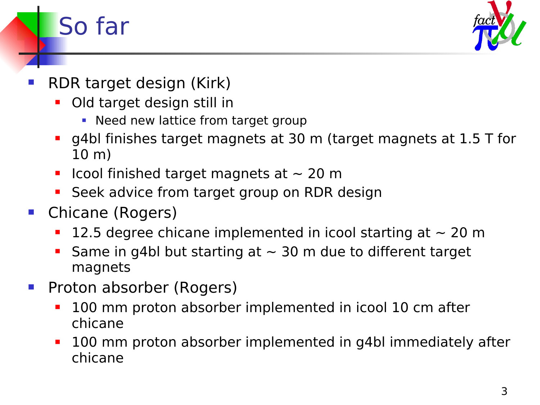

- RDR target design (Kirk)
	- Old target design still in
		- Need new lattice from target group
	- g4bl finishes target magnets at 30 m (target magnets at 1.5 T for 10 m)
	- **If** Icool finished target magnets at  $\sim$  20 m
	- Seek advice from target group on RDR design
- Chicane (Rogers)

So far

- 12.5 degree chicane implemented in icool starting at  $\sim$  20 m
- Same in g4bl but starting at  $\sim$  30 m due to different target magnets
- Proton absorber (Rogers)
	- 100 mm proton absorber implemented in icool 10 cm after chicane
	- **100 mm proton absorber implemented in g4bl immediately after** chicane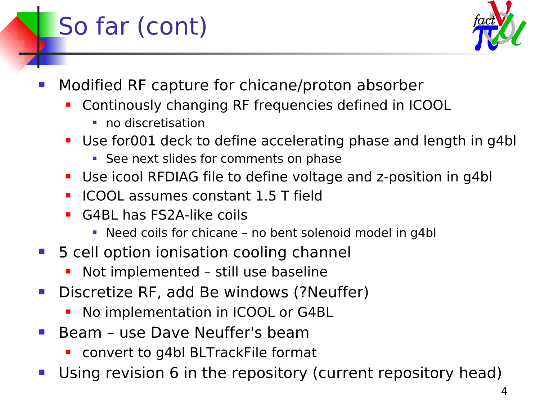# So far (cont)



- Modified RF capture for chicane/proton absorber
	- Continously changing RF frequencies defined in ICOOL
		- **no** discretisation
	- Use for001 deck to define accelerating phase and length in g4bl
		- See next slides for comments on phase
	- Use icool RFDIAG file to define voltage and z-position in g4bl
	- **ICOOL assumes constant 1.5 T field**
	- G4BL has FS2A-like coils
		- Need coils for chicane no bent solenoid model in g4bl
- 5 cell option ionisation cooling channel
	- Not implemented still use baseline
- **Discretize RF, add Be windows (?Neuffer)** 
	- No implementation in ICOOL or G4BL
- Beam use Dave Neuffer's beam
	- convert to g4bl BLTrackFile format
- Using revision 6 in the repository (current repository head)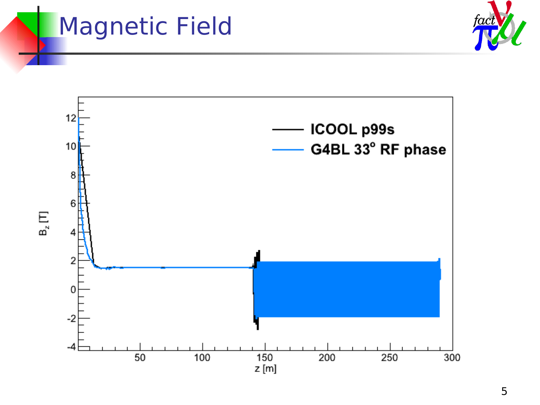## Magnetic Field



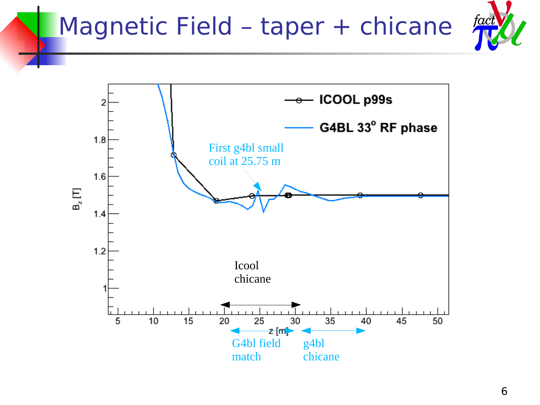## Magnetic Field - taper + chicane



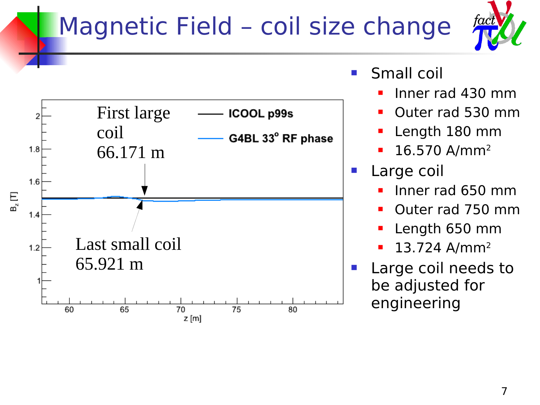# Magnetic Field – coil size change





- Small coil
	- Inner rad 430 mm
	- Outer rad 530 mm
	- Length 180 mm
	- 16.570 A/mm<sup>2</sup>
- Large coil
	- Inner rad 650 mm
	- Outer rad 750 mm
	- Length 650 mm
	- 13.724 A/mm<sup>2</sup>
- Large coil needs to be adjusted for engineering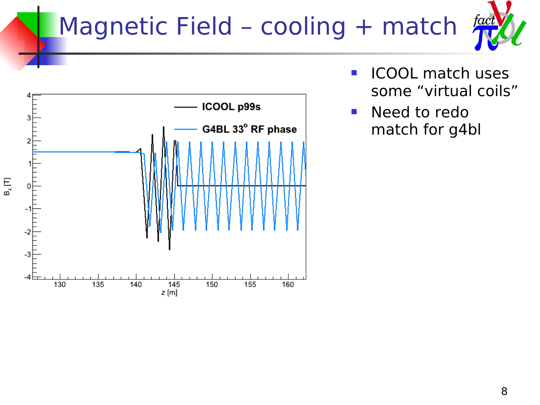# Magnetic Field - cooling + match





- **ICOOL match uses** some "virtual coils"
- **Need to redo** match for g4bl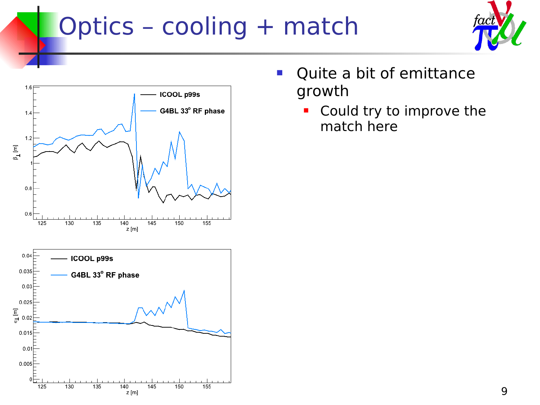# Optics - cooling + match





- **Quite a bit of emittance** growth
	- **Could try to improve the** match here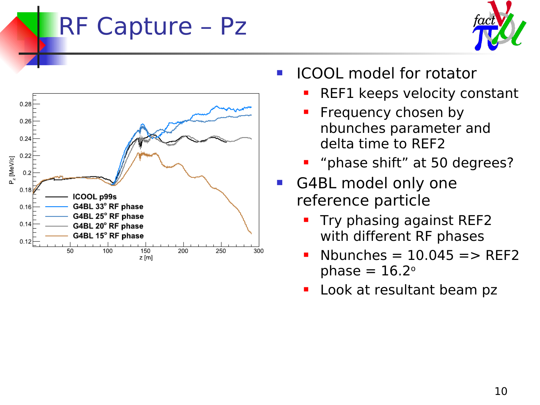#### RF Capture – Pz





- ICOOL model for rotator
	- REF1 keeps velocity constant
	- Frequency chosen by nbunches parameter and delta time to REF2
	- **•** "phase shift" at 50 degrees?
- G4BL model only one reference particle
	- Try phasing against REF2 with different RF phases
	- Nbunches  $= 10.045 ==$  REF2 phase  $= 16.2$ <sup>o</sup>
	- Look at resultant beam pz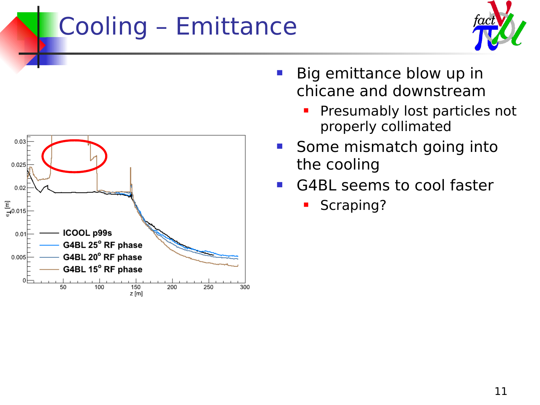# Cooling – Emittance





- **Big emittance blow up in** chicane and downstream
	- **Presumably lost particles not** properly collimated
- Some mismatch going into the cooling
- G4BL seems to cool faster
	- Scraping?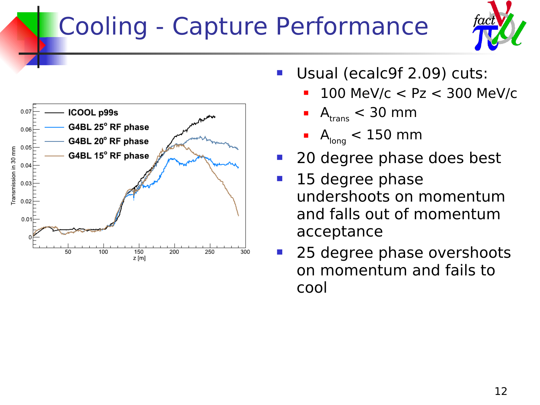# Cooling - Capture Performance





- Usual (ecalc9f 2.09) cuts:
	- 100 MeV/c < Pz < 300 MeV/c
	- $A_{trans} < 30$  mm
	- $A<sub>long</sub> < 150$  mm
- 20 degree phase does best
- **15 degree phase** undershoots on momentum and falls out of momentum acceptance
- 25 degree phase overshoots on momentum and fails to cool